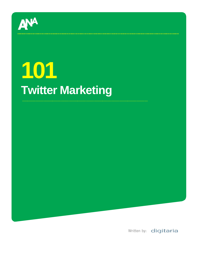

# **101 Twitter Marketing**

Written by: digitaria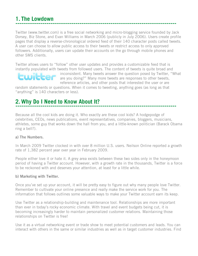### **1. The Lowdown**

Twitter (www.twitter.com) is a free social networking and micro-blogging service founded by Jack Dorsey, Biz Stone, and Evan Williams in March 2006 (publicly in July 2006). Users create profile pages that display a reverse-chronological ordered feed of their 140 character posts called tweets. A user can choose to allow public access to their tweets or restrict access to only approved followers. Additionally, users can update their accounts on the go through mobile phones and other SMS clients.

Twitter allows users to "follow" other user updates and provides a customizable feed that is instantly populated with tweets from followed users. The content of tweets is quite broad and



inconsistent. Many tweets answer the question posed by Twitter, "What are you doing?" Many more tweets are responses to other tweets, reference articles, and other posts that interested the user or are

random statements or questions. When it comes to tweeting, anything goes (as long as that "anything" is 140 characters or less).

## **2. Why Do I Need to Know About It?**

Because all the cool kids are doing it. Who exactly are these cool kids? A hodgepodge of celebrities, CEOs, news publications, event representatives, companies, bloggers, musicians, athletes, some guy that works down the hall from you, and a little-known politician (Barack Obama ring a bell?).

#### a) The Numbers.

In March 2009 Twitter clocked in with over 8 million U.S. users. Neilson Online reported a growth rate of 1,382 percent year over year in February 2009.

People either love it or hate it. A grey area exists between these two sides only in the honeymoon period of having a Twitter account. However, with a growth rate in the thousands, Twitter is a force to be reckoned with and deserves your attention, at least for a little while.

#### b) Marketing with Twitter.

Once you've set up your account, it will be pretty easy to figure out why many people love Twitter. Remember to cultivate your online presence and really make the service work for you. The information that follows outlines some valuable ways to make your Twitter account earn its keep.

Use Twitter as a relationship-building and maintenance tool. Relationships are more important than ever in today's rocky economic climate. With travel and event budgets being cut, it is becoming increasingly harder to maintain personalized customer relations. Maintaining those relationships on Twitter is free!

Use it as a virtual networking event or trade show to meet potential customers and leads. You can interact with others in the same or similar industries as well as in target customer industries. Find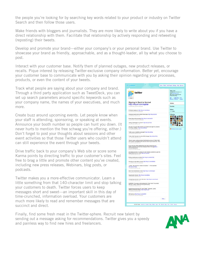the people you're looking for by searching key words related to your product or industry on Twitter Search and then follow those users.

Make friends with bloggers and journalists. They are more likely to write about you if you have a direct relationship with them. Facilitate that relationship by actively responding and retweeting (reposting) their tweets.

Develop and promote your brand—either your company's or your personal brand. Use Twitter to showcase your brand as friendly, approachable, and as a thought-leader, all by what you choose to post.

Interact with your customer base. Notify them of planned outages, new product releases, or recalls. Pique interest by releasing Twitter-exclusive company information. Better yet, encourage your customer base to communicate with you by asking their opinion regarding your processes, products, or even the content of your tweets.

Track what people are saying about your company and brand. Through a third party application such as TweetDeck, you can set up search parameters around specific keywords such as your company name, the names of your executives, and much more.

Create buzz around upcoming events. Let people know when your staff is attending, sponsoring, or speaking at events. Announce your booth number so people can hunt you down. (It never hurts to mention the free schwag you're offering, either.) Don't forget to post your thoughts about sessions and other event activities so that those Twitter users who couldn't attend can still experience the event through your tweets.

Drive traffic back to your company's Web site or score some Karma points by directing traffic to your customer's sites. Feel free to brag a little and promote other content you've created, including new press releases, Webinars, blog posts, or podcasts.

Twitter makes you a more-effective communicator. Learn a little something from that 140-character limit and stop talking your customers to death. Twitter forces users to keep messages short and sweet—an important skill in this day of time-crunched, information overload. Your customers are much more likely to read and remember messages that are succinct and direct.

Finally, find some fresh meat in the Twitter-sphere. Recruit new talent by sending out a message asking for recommendations. Twitter gives you a speedy and painless way to find new hires and freelancers.